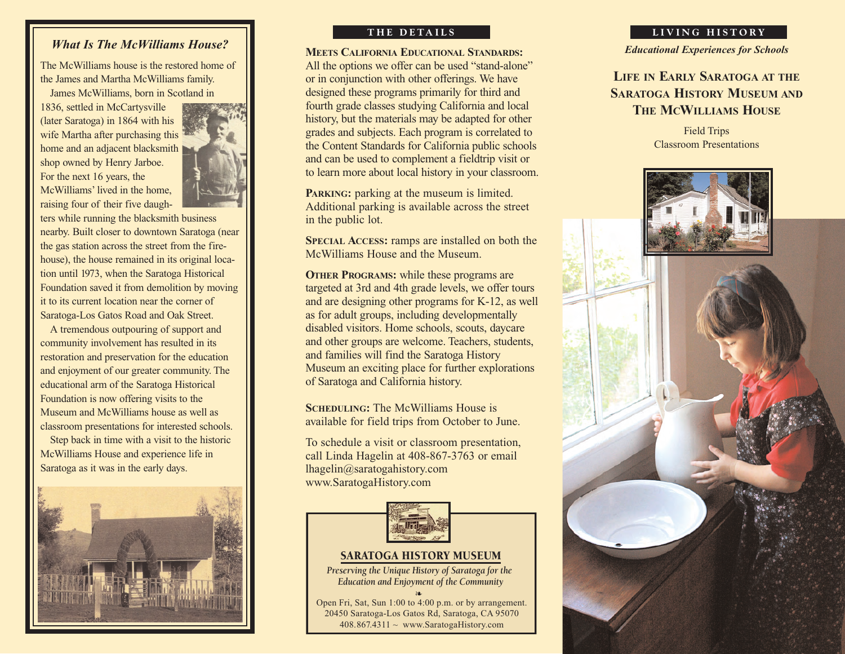# *What Is The McWilliams House?*

The McWilliams house is the restored home of the James and Martha McWilliams family.

James McWilliams, born in Scotland in

1836, settled in McCartysville (later Saratoga) in 1864 with his wife Martha after purchasing this home and an adjacent blacksmith shop owned by Henry Jarboe. For the next 16 years, the McWilliams' lived in the home, raising four of their five daugh-



ters while running the blacksmith business nearby. Built closer to downtown Saratoga (near the gas station across the street from the firehouse), the house remained in its original location until 1973, when the Saratoga Historical Foundation saved it from demolition by moving it to its current location near the corner of Saratoga-Los Gatos Road and Oak Street.

A tremendous outpouring of support and community involvement has resulted in its restoration and preservation for the education and enjoyment of our greater community. The educational arm of the Saratoga Historical Foundation is now offering visits to the Museum and McWilliams house as well as classroom presentations for interested schools.

Step back in time with a visit to the historic McWilliams House and experience life in Saratoga as it was in the early days.



**MEETS CALIFORNIA EDUCATIONAL STANDARDS:** All the options we offer can be used "stand-alone" or in conjunction with other offerings. We have designed these programs primarily for third and fourth grade classes studying California and local history, but the materials may be adapted for other grades and subjects. Each program is correlated to the Content Standards for California public schools and can be used to complement a fieldtrip visit or to learn more about local history in your classroom.

**PARKING:** parking at the museum is limited. Additional parking is available across the street in the public lot.

**SPECIAL ACCESS:** ramps are installed on both the McWilliams House and the Museum.

**OTHER PROGRAMS:** while these programs are targeted at 3rd and 4th grade levels, we offer tours and are designing other programs for K-12, as well as for adult groups, including developmentally disabled visitors. Home schools, scouts, daycare and other groups are welcome. Teachers, students, and families will find the Saratoga History Museum an exciting place for further explorations of Saratoga and California history.

**SCHEDULING:** The McWilliams House is available for field trips from October to June.

To schedule a visit or classroom presentation, call Linda Hagelin at 408-867-3763 or email lhagelin@saratogahistory.com www.SaratogaHistory.com Example 18 VISIL or Classroom presentate<br>
Ida Hagelin at 408-867-3763 or em<br>
1@saratogahistory.com<br>
aratogaHistory.com<br>
aratogaHistory.com<br>
SARATOGA HISTORY MUSEUM<br>
serving the Unique History of Saratoga for t<br>
Education a



### SARATOGA HISTORY MUSEUM

*Preserving the Unique History of Saratoga for the Education and Enjoyment of the Community*

❧ Open Fri, Sat, Sun 1:00 to 4:00 p.m. or by arrangement. 20450 Saratoga-Los Gatos Rd, Saratoga, CA 95070

#### **THE DETAILS LIVING HISTORY**

*Educational Experiences for Schools*

# **LIFE IN EARLY SARATOGA AT THE SARATOGA HISTORY MUSEUM AND THE MCWILLIAMS HOUSE**

Field Trips Classroom Presentations